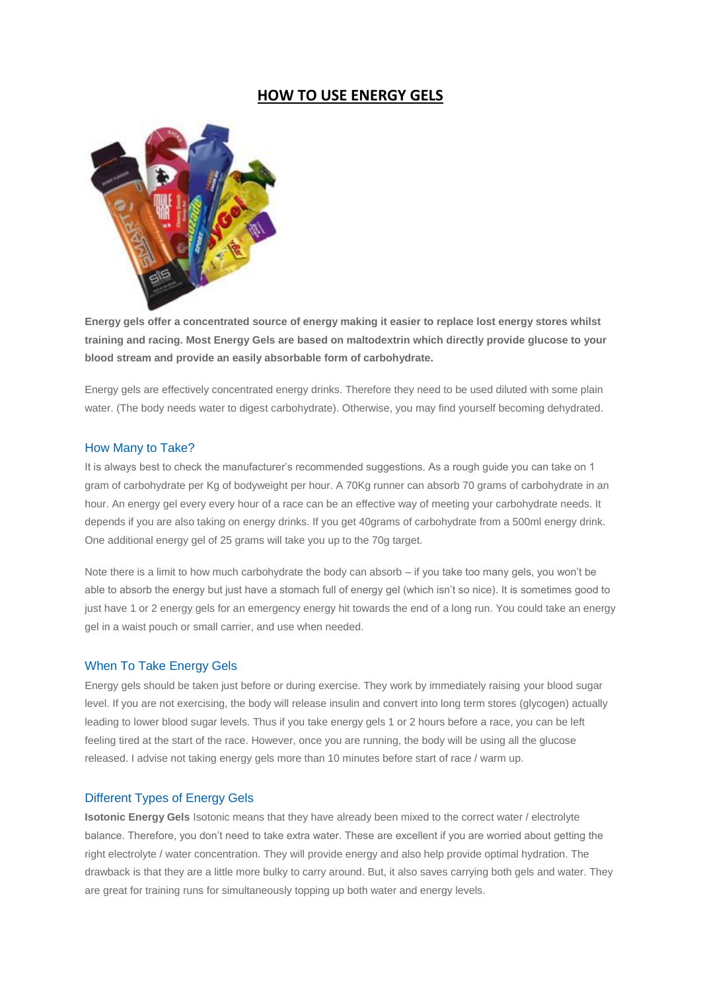# **HOW TO USE ENERGY GELS**



**Energy gels offer a concentrated source of energy making it easier to replace lost energy stores whilst training and racing. Most Energy Gels are based on maltodextrin which directly provide glucose to your blood stream and provide an easily absorbable form of carbohydrate.**

Energy gels are effectively concentrated energy drinks. Therefore they need to be used diluted with some plain water. (The body needs water to digest carbohydrate). Otherwise, you may find yourself becoming dehydrated.

#### How Many to Take?

It is always best to check the manufacturer's recommended suggestions. As a rough guide you can take on 1 gram of carbohydrate per Kg of bodyweight per hour. A 70Kg runner can absorb 70 grams of carbohydrate in an hour. An energy gel every every hour of a race can be an effective way of meeting your carbohydrate needs. It depends if you are also taking on energy drinks. If you get 40grams of carbohydrate from a 500ml energy drink. One additional energy gel of 25 grams will take you up to the 70g target.

Note there is a limit to how much carbohydrate the body can absorb – if you take too many gels, you won't be able to absorb the energy but just have a stomach full of energy gel (which isn't so nice). It is sometimes good to just have 1 or 2 energy gels for an emergency energy hit towards the end of a long run. You could take an energy gel in a waist pouch or small carrier, and use when needed.

### When To Take Energy Gels

Energy gels should be taken just before or during exercise. They work by immediately raising your blood sugar level. If you are not exercising, the body will release insulin and convert into long term stores (glycogen) actually leading to lower blood sugar levels. Thus if you take energy gels 1 or 2 hours before a race, you can be left feeling tired at the start of the race. However, once you are running, the body will be using all the glucose released. I advise not taking energy gels more than 10 minutes before start of race / warm up.

#### Different Types of Energy Gels

**Isotonic Energy Gels** Isotonic means that they have already been mixed to the correct water / electrolyte balance. Therefore, you don't need to take extra water. These are excellent if you are worried about getting the right electrolyte / water concentration. They will provide energy and also help provide optimal hydration. The drawback is that they are a little more bulky to carry around. But, it also saves carrying both gels and water. They are great for training runs for simultaneously topping up both water and energy levels.